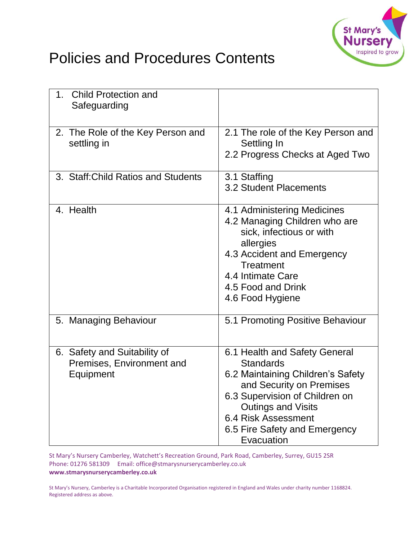

## Policies and Procedures Contents

| 1. Child Protection and<br>Safeguarding                                |                                                                                                                                                                                                                                                                |
|------------------------------------------------------------------------|----------------------------------------------------------------------------------------------------------------------------------------------------------------------------------------------------------------------------------------------------------------|
| 2. The Role of the Key Person and<br>settling in                       | 2.1 The role of the Key Person and<br>Settling In<br>2.2 Progress Checks at Aged Two                                                                                                                                                                           |
| 3. Staff: Child Ratios and Students                                    | 3.1 Staffing<br><b>3.2 Student Placements</b>                                                                                                                                                                                                                  |
| 4. Health                                                              | 4.1 Administering Medicines<br>4.2 Managing Children who are<br>sick, infectious or with<br>allergies<br>4.3 Accident and Emergency<br><b>Treatment</b><br>4.4 Intimate Care<br>4.5 Food and Drink<br>4.6 Food Hygiene                                         |
| 5. Managing Behaviour                                                  | 5.1 Promoting Positive Behaviour                                                                                                                                                                                                                               |
| 6. Safety and Suitability of<br>Premises, Environment and<br>Equipment | 6.1 Health and Safety General<br><b>Standards</b><br>6.2 Maintaining Children's Safety<br>and Security on Premises<br>6.3 Supervision of Children on<br><b>Outings and Visits</b><br><b>6.4 Risk Assessment</b><br>6.5 Fire Safety and Emergency<br>Evacuation |

St Mary's Nursery Camberley, Watchett's Recreation Ground, Park Road, Camberley, Surrey, GU15 2SR Phone: 01276 581309 Email: office@stmarysnurserycamberley.co.uk **www.stmarysnurserycamberley.co.uk**

St Mary's Nursery, Camberley is a Charitable Incorporated Organisation registered in England and Wales under charity number 1168824. Registered address as above.